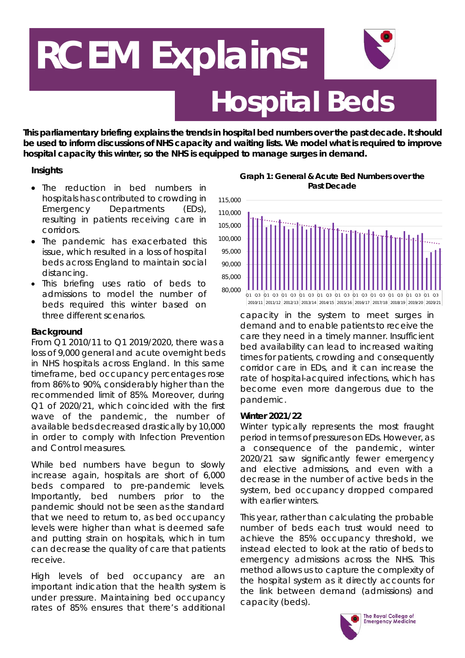# **Hospital Beds RCEM Explains:**

*This parliamentary briefing explains the trends in hospital bed numbers over the past decade. It should be used to inform discussions of NHS capacity and waiting lists. We model what is required to improve hospital capacity this winter, so the NHS is equipped to manage surges in demand.*

# **Insights**

- The reduction in bed numbers in hospitals has contributed to crowding in Emergency Departments (EDs), resulting in patients receiving care in corridors.
- The pandemic has exacerbated this issue, which resulted in a loss of hospital beds across England to maintain social distancing.
- This briefing uses ratio of beds to admissions to model the number of beds required this winter based on three different scenarios.

# **Background**

From Q1 2010/11 to Q1 2019/2020, there was a loss of 9,000 general and acute overnight beds in NHS hospitals across England. In this same timeframe, bed occupancy percentages rose from 86% to 90%, considerably higher than the recommended limit of 85%. Moreover, during Q1 of 2020/21, which coincided with the first wave of the pandemic, the number of available beds decreased drastically by 10,000 in order to comply with Infection Prevention and Control measures.

While bed numbers have begun to slowly increase again, hospitals are short of 6,000 beds compared to pre-pandemic levels. Importantly, bed numbers prior to the pandemic should not be seen as the standard that we need to return to, as bed occupancy levels were higher than what is deemed safe and putting strain on hospitals, which in turn can decrease the quality of care that patients receive.

High levels of bed occupancy are an important indication that the health system is under pressure. Maintaining bed occupancy rates of 85% ensures that there's additional

**Graph 1: General & Acute Bed Numbers over the Past Decade**



capacity in the system to meet surges in demand and to enable patients to receive the care they need in a timely manner. Insufficient bed availability can lead to increased waiting times for patients, crowding and consequently corridor care in EDs, and it can increase the rate of hospital-acquired infections, which has become even more dangerous due to the pandemic.

### **Winter 2021/22**

Winter typically represents the most fraught period in terms of pressures on EDs. However, as a consequence of the pandemic, winter 2020/21 saw significantly fewer emergency and elective admissions, and even with a decrease in the number of active beds in the system, bed occupancy dropped compared with earlier winters.

This year, rather than calculating the probable number of beds each trust would need to achieve the 85% occupancy threshold, we instead elected to look at the ratio of beds to emergency admissions across the NHS. This method allows us to capture the complexity of the hospital system as it directly accounts for the link between demand (admissions) and capacity (beds).